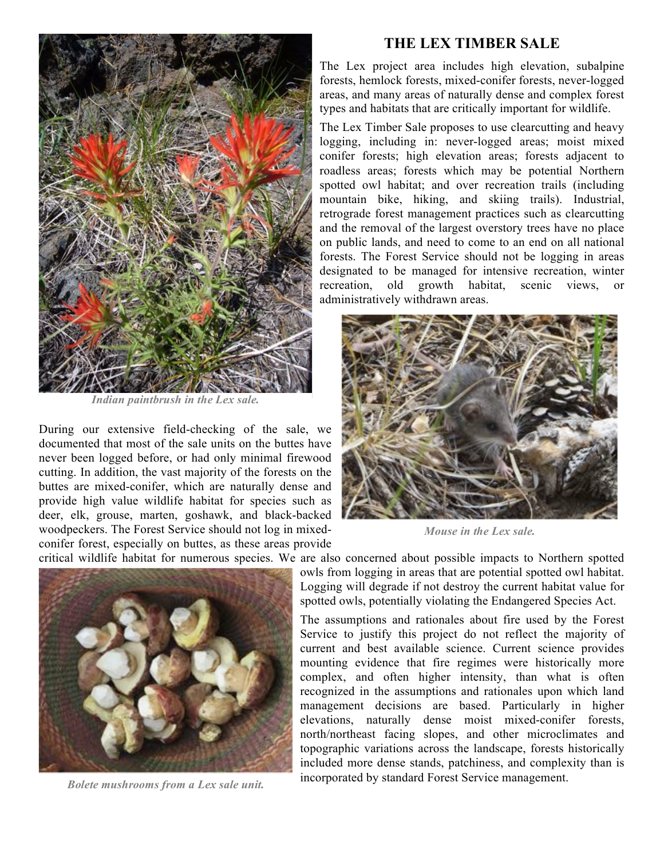

*Indian paintbrush in the Lex sale.*

During our extensive field-checking of the sale, we documented that most of the sale units on the buttes have never been logged before, or had only minimal firewood cutting. In addition, the vast majority of the forests on the buttes are mixed-conifer, which are naturally dense and provide high value wildlife habitat for species such as deer, elk, grouse, marten, goshawk, and black-backed woodpeckers. The Forest Service should not log in mixedconifer forest, especially on buttes, as these areas provide

## **THE LEX TIMBER SALE**

The Lex project area includes high elevation, subalpine forests, hemlock forests, mixed-conifer forests, never-logged areas, and many areas of naturally dense and complex forest types and habitats that are critically important for wildlife.

The Lex Timber Sale proposes to use clearcutting and heavy logging, including in: never-logged areas; moist mixed conifer forests; high elevation areas; forests adjacent to roadless areas; forests which may be potential Northern spotted owl habitat; and over recreation trails (including mountain bike, hiking, and skiing trails). Industrial, retrograde forest management practices such as clearcutting and the removal of the largest overstory trees have no place on public lands, and need to come to an end on all national forests. The Forest Service should not be logging in areas designated to be managed for intensive recreation, winter recreation, old growth habitat, scenic views, or administratively withdrawn areas.



*Mouse in the Lex sale.*

critical wildlife habitat for numerous species. We are also concerned about possible impacts to Northern spotted



*Bolete mushrooms from a Lex sale unit.*

owls from logging in areas that are potential spotted owl habitat. Logging will degrade if not destroy the current habitat value for spotted owls, potentially violating the Endangered Species Act.

The assumptions and rationales about fire used by the Forest Service to justify this project do not reflect the majority of current and best available science. Current science provides mounting evidence that fire regimes were historically more complex, and often higher intensity, than what is often recognized in the assumptions and rationales upon which land management decisions are based. Particularly in higher elevations, naturally dense moist mixed-conifer forests, north/northeast facing slopes, and other microclimates and topographic variations across the landscape, forests historically included more dense stands, patchiness, and complexity than is incorporated by standard Forest Service management.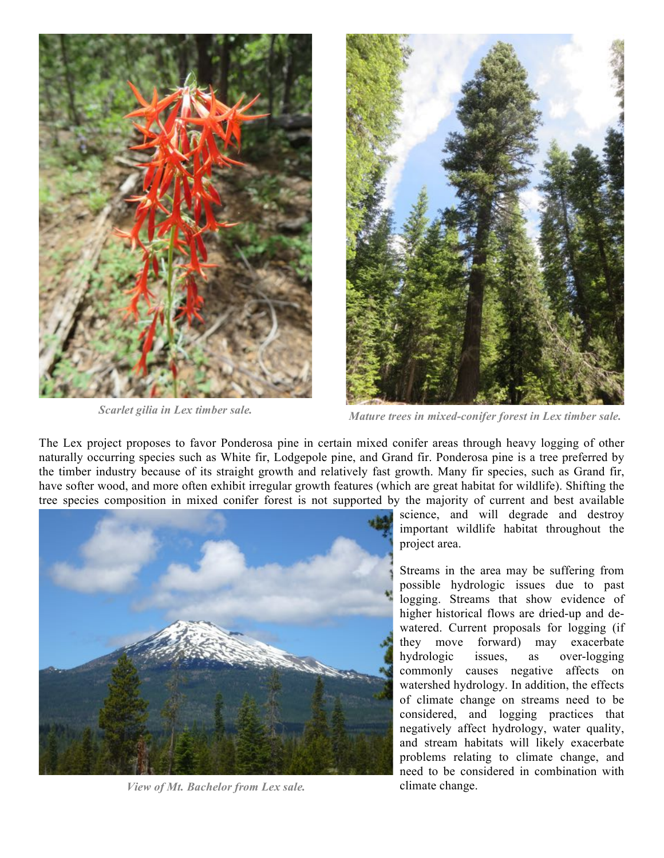



*Scarlet gilia in Lex timber sale. Mature trees in mixed-conifer forest in Lex timber sale.*

The Lex project proposes to favor Ponderosa pine in certain mixed conifer areas through heavy logging of other naturally occurring species such as White fir, Lodgepole pine, and Grand fir. Ponderosa pine is a tree preferred by the timber industry because of its straight growth and relatively fast growth. Many fir species, such as Grand fir, have softer wood, and more often exhibit irregular growth features (which are great habitat for wildlife). Shifting the tree species composition in mixed conifer forest is not supported by the majority of current and best available



*View of Mt. Bachelor from Lex sale.*

science, and will degrade and destroy important wildlife habitat throughout the project area.

Streams in the area may be suffering from possible hydrologic issues due to past logging. Streams that show evidence of higher historical flows are dried-up and dewatered. Current proposals for logging (if they move forward) may exacerbate hydrologic issues, as over-logging commonly causes negative affects on watershed hydrology. In addition, the effects of climate change on streams need to be considered, and logging practices that negatively affect hydrology, water quality, and stream habitats will likely exacerbate problems relating to climate change, and need to be considered in combination with climate change.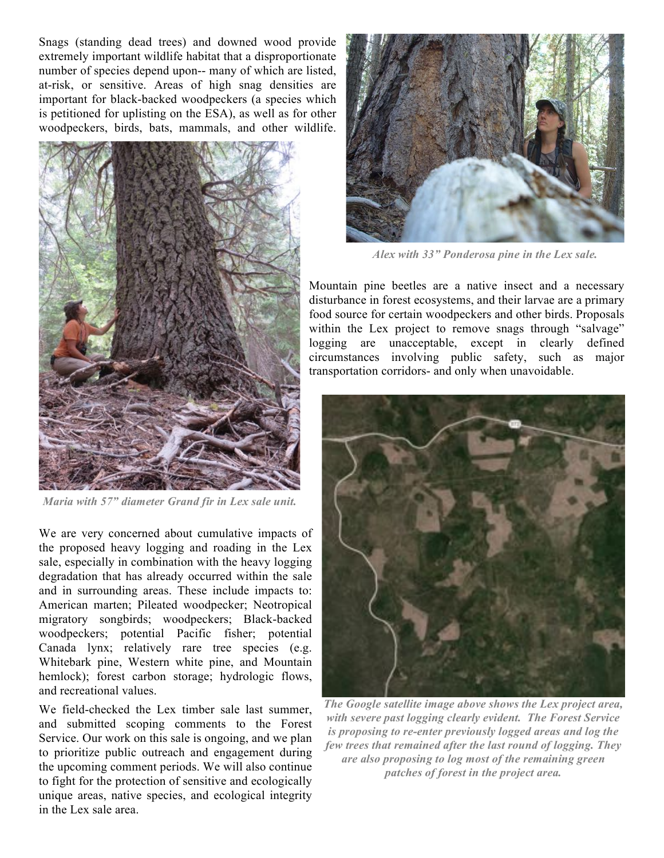Snags (standing dead trees) and downed wood provide extremely important wildlife habitat that a disproportionate number of species depend upon-- many of which are listed, at-risk, or sensitive. Areas of high snag densities are important for black-backed woodpeckers (a species which is petitioned for uplisting on the ESA), as well as for other woodpeckers, birds, bats, mammals, and other wildlife.



*Maria with 57" diameter Grand fir in Lex sale unit.*

We are very concerned about cumulative impacts of the proposed heavy logging and roading in the Lex sale, especially in combination with the heavy logging degradation that has already occurred within the sale and in surrounding areas. These include impacts to: American marten; Pileated woodpecker; Neotropical migratory songbirds; woodpeckers; Black-backed woodpeckers; potential Pacific fisher; potential Canada lynx; relatively rare tree species (e.g. Whitebark pine, Western white pine, and Mountain hemlock); forest carbon storage; hydrologic flows, and recreational values.

We field-checked the Lex timber sale last summer, and submitted scoping comments to the Forest Service. Our work on this sale is ongoing, and we plan to prioritize public outreach and engagement during the upcoming comment periods. We will also continue to fight for the protection of sensitive and ecologically unique areas, native species, and ecological integrity in the Lex sale area.



*Alex with 33" Ponderosa pine in the Lex sale.*

Mountain pine beetles are a native insect and a necessary disturbance in forest ecosystems, and their larvae are a primary food source for certain woodpeckers and other birds. Proposals within the Lex project to remove snags through "salvage" logging are unacceptable, except in clearly defined circumstances involving public safety, such as major transportation corridors- and only when unavoidable.



*The Google satellite image above shows the Lex project area, with severe past logging clearly evident. The Forest Service is proposing to re-enter previously logged areas and log the few trees that remained after the last round of logging. They are also proposing to log most of the remaining green patches of forest in the project area.*